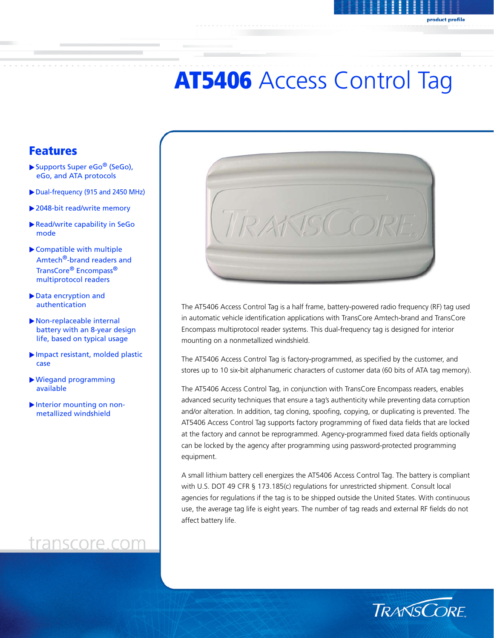# **AT5406 Access Control Tag**

### Features

- $\blacktriangleright$  Supports Super eGo<sup>®</sup> (SeGo), eGo, and ATA protocols
- Dual-frequency (915 and 2450 MHz)
- $\blacktriangleright$  2048-bit read/write memory
- Read/write capability in SeGo mode
- $\blacktriangleright$  Compatible with multiple Amtech®-brand readers and TransCore® Encompass® multiprotocol readers
- Data encryption and authentication
- $\blacktriangleright$  Non-replaceable internal battery with an 8-year design life, based on typical usage
- $\blacktriangleright$  Impact resistant, molded plastic case
- XWiegand programming available
- $\blacktriangleright$  Interior mounting on nonmetallized windshield

### transcore.com



The AT5406 Access Control Tag is a half frame, battery-powered radio frequency (RF) tag used in automatic vehicle identification applications with TransCore Amtech-brand and TransCore Encompass multiprotocol reader systems. This dual-frequency tag is designed for interior mounting on a nonmetallized windshield.

The AT5406 Access Control Tag is factory-programmed, as specified by the customer, and stores up to 10 six-bit alphanumeric characters of customer data (60 bits of ATA tag memory).

The AT5406 Access Control Tag, in conjunction with TransCore Encompass readers, enables advanced security techniques that ensure a tag's authenticity while preventing data corruption and/or alteration. In addition, tag cloning, spoofing, copying, or duplicating is prevented. The AT5406 Access Control Tag supports factory programming of fixed data fields that are locked at the factory and cannot be reprogrammed. Agency-programmed fixed data fields optionally can be locked by the agency after programming using password-protected programming equipment.

A small lithium battery cell energizes the AT5406 Access Control Tag. The battery is compliant with U.S. DOT 49 CFR § 173.185(c) regulations for unrestricted shipment. Consult local agencies for regulations if the tag is to be shipped outside the United States. With continuous use, the average tag life is eight years. The number of tag reads and external RF fields do not affect battery life.